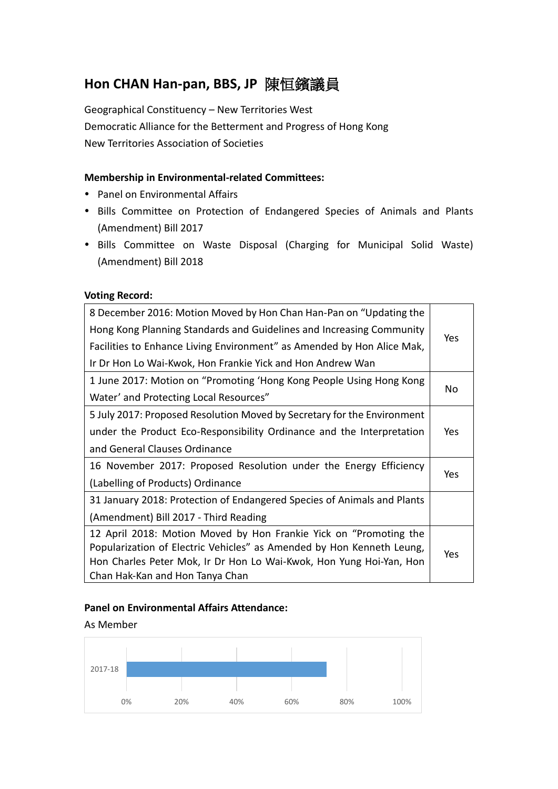# **Hon CHAN Han-pan, BBS, JP** 陳恒鑌議員

Geographical Constituency – New Territories West Democratic Alliance for the Betterment and Progress of Hong Kong New Territories Association of Societies

## **Membership in Environmental-related Committees:**

- Panel on Environmental Affairs
- Bills Committee on Protection of Endangered Species of Animals and Plants (Amendment) Bill 2017
- Bills Committee on Waste Disposal (Charging for Municipal Solid Waste) (Amendment) Bill 2018

### **Voting Record:**

| 8 December 2016: Motion Moved by Hon Chan Han-Pan on "Updating the      |            |  |
|-------------------------------------------------------------------------|------------|--|
| Hong Kong Planning Standards and Guidelines and Increasing Community    | Yes        |  |
| Facilities to Enhance Living Environment" as Amended by Hon Alice Mak,  |            |  |
| Ir Dr Hon Lo Wai-Kwok, Hon Frankie Yick and Hon Andrew Wan              |            |  |
| 1 June 2017: Motion on "Promoting 'Hong Kong People Using Hong Kong     |            |  |
| Water' and Protecting Local Resources"                                  | No         |  |
| 5 July 2017: Proposed Resolution Moved by Secretary for the Environment |            |  |
| under the Product Eco-Responsibility Ordinance and the Interpretation   |            |  |
| and General Clauses Ordinance                                           |            |  |
| 16 November 2017: Proposed Resolution under the Energy Efficiency       |            |  |
| (Labelling of Products) Ordinance                                       | <b>Yes</b> |  |
| 31 January 2018: Protection of Endangered Species of Animals and Plants |            |  |
| (Amendment) Bill 2017 - Third Reading                                   |            |  |
| 12 April 2018: Motion Moved by Hon Frankie Yick on "Promoting the       |            |  |
| Popularization of Electric Vehicles" as Amended by Hon Kenneth Leung,   |            |  |
| Hon Charles Peter Mok, Ir Dr Hon Lo Wai-Kwok, Hon Yung Hoi-Yan, Hon     |            |  |
| Chan Hak-Kan and Hon Tanya Chan                                         |            |  |

### **Panel on Environmental Affairs Attendance:**

#### As Member

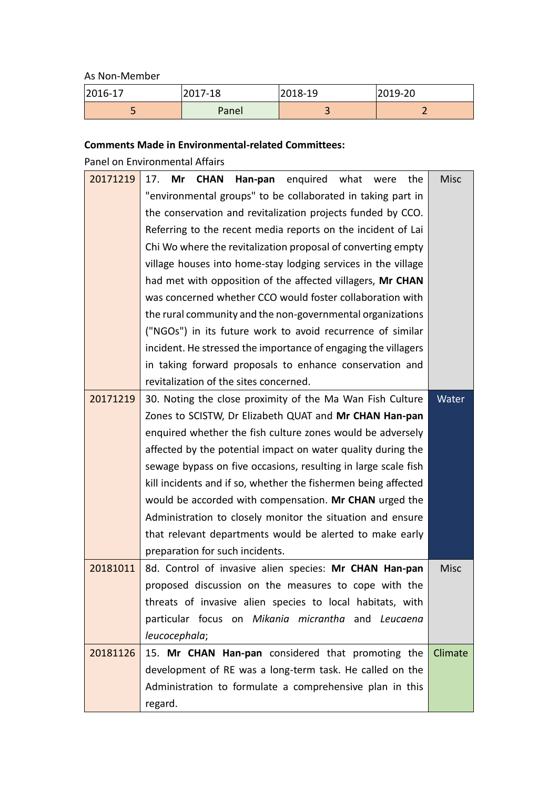As Non-Member

| 2016-17 | 2017-18 | 2018-19 | 2019-20 |
|---------|---------|---------|---------|
|         | Panel   |         |         |

## **Comments Made in Environmental-related Committees:**

Panel on Environmental Affairs

| 20171219 | enquired what were<br>Mr<br><b>CHAN</b><br>Han-pan<br>the<br>17. | <b>Misc</b> |
|----------|------------------------------------------------------------------|-------------|
|          | "environmental groups" to be collaborated in taking part in      |             |
|          | the conservation and revitalization projects funded by CCO.      |             |
|          | Referring to the recent media reports on the incident of Lai     |             |
|          | Chi Wo where the revitalization proposal of converting empty     |             |
|          | village houses into home-stay lodging services in the village    |             |
|          | had met with opposition of the affected villagers, Mr CHAN       |             |
|          | was concerned whether CCO would foster collaboration with        |             |
|          | the rural community and the non-governmental organizations       |             |
|          | ("NGOs") in its future work to avoid recurrence of similar       |             |
|          | incident. He stressed the importance of engaging the villagers   |             |
|          | in taking forward proposals to enhance conservation and          |             |
|          | revitalization of the sites concerned.                           |             |
| 20171219 | 30. Noting the close proximity of the Ma Wan Fish Culture        | Water       |
|          | Zones to SCISTW, Dr Elizabeth QUAT and Mr CHAN Han-pan           |             |
|          | enquired whether the fish culture zones would be adversely       |             |
|          | affected by the potential impact on water quality during the     |             |
|          | sewage bypass on five occasions, resulting in large scale fish   |             |
|          | kill incidents and if so, whether the fishermen being affected   |             |
|          | would be accorded with compensation. Mr CHAN urged the           |             |
|          | Administration to closely monitor the situation and ensure       |             |
|          | that relevant departments would be alerted to make early         |             |
|          | preparation for such incidents.                                  |             |
| 20181011 | 8d. Control of invasive alien species: Mr CHAN Han-pan           | <b>Misc</b> |
|          | proposed discussion on the measures to cope with the             |             |
|          | threats of invasive alien species to local habitats, with        |             |
|          | particular focus on Mikania micrantha and Leucaena               |             |
|          | leucocephala;                                                    |             |
| 20181126 | 15. Mr CHAN Han-pan considered that promoting the                | Climate     |
|          | development of RE was a long-term task. He called on the         |             |
|          | Administration to formulate a comprehensive plan in this         |             |
|          | regard.                                                          |             |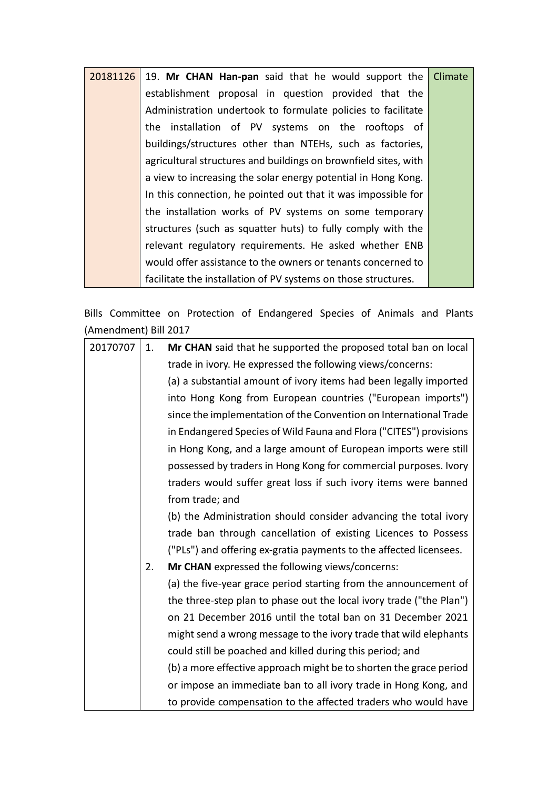| $20181126$ 19. Mr CHAN Han-pan said that he would support the   | Climate |
|-----------------------------------------------------------------|---------|
| establishment proposal in question provided that the            |         |
| Administration undertook to formulate policies to facilitate    |         |
| the installation of PV systems on the rooftops of               |         |
| buildings/structures other than NTEHs, such as factories,       |         |
| agricultural structures and buildings on brownfield sites, with |         |
| a view to increasing the solar energy potential in Hong Kong.   |         |
| In this connection, he pointed out that it was impossible for   |         |
| the installation works of PV systems on some temporary          |         |
| structures (such as squatter huts) to fully comply with the     |         |
| relevant regulatory requirements. He asked whether ENB          |         |
| would offer assistance to the owners or tenants concerned to    |         |
| facilitate the installation of PV systems on those structures.  |         |

Bills Committee on Protection of Endangered Species of Animals and Plants (Amendment) Bill 2017

| 20170707 | 1. | Mr CHAN said that he supported the proposed total ban on local      |
|----------|----|---------------------------------------------------------------------|
|          |    | trade in ivory. He expressed the following views/concerns:          |
|          |    | (a) a substantial amount of ivory items had been legally imported   |
|          |    | into Hong Kong from European countries ("European imports")         |
|          |    | since the implementation of the Convention on International Trade   |
|          |    | in Endangered Species of Wild Fauna and Flora ("CITES") provisions  |
|          |    | in Hong Kong, and a large amount of European imports were still     |
|          |    | possessed by traders in Hong Kong for commercial purposes. Ivory    |
|          |    | traders would suffer great loss if such ivory items were banned     |
|          |    | from trade; and                                                     |
|          |    | (b) the Administration should consider advancing the total ivory    |
|          |    | trade ban through cancellation of existing Licences to Possess      |
|          |    | ("PLs") and offering ex-gratia payments to the affected licensees.  |
|          | 2. | Mr CHAN expressed the following views/concerns:                     |
|          |    | (a) the five-year grace period starting from the announcement of    |
|          |    | the three-step plan to phase out the local ivory trade ("the Plan") |
|          |    | on 21 December 2016 until the total ban on 31 December 2021         |
|          |    | might send a wrong message to the ivory trade that wild elephants   |
|          |    | could still be poached and killed during this period; and           |
|          |    | (b) a more effective approach might be to shorten the grace period  |
|          |    | or impose an immediate ban to all ivory trade in Hong Kong, and     |
|          |    | to provide compensation to the affected traders who would have      |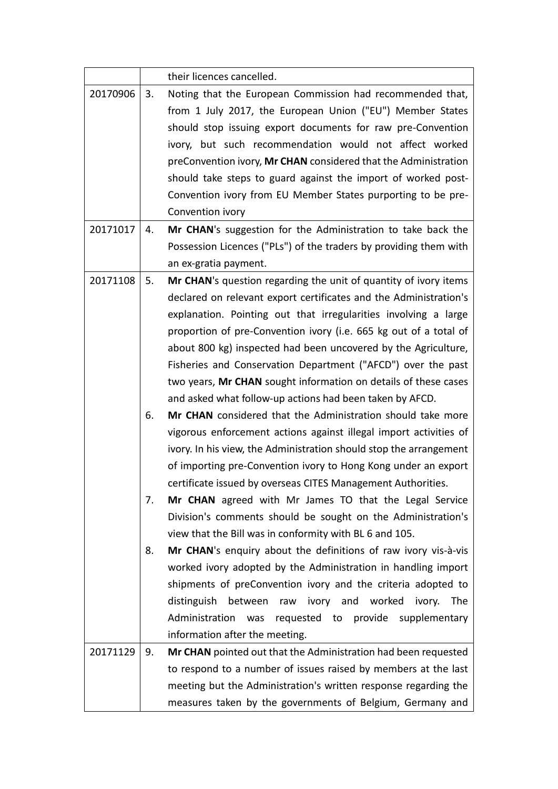|          |    | their licences cancelled.                                                                                              |
|----------|----|------------------------------------------------------------------------------------------------------------------------|
| 20170906 | 3. | Noting that the European Commission had recommended that,<br>from 1 July 2017, the European Union ("EU") Member States |
|          |    | should stop issuing export documents for raw pre-Convention                                                            |
|          |    | ivory, but such recommendation would not affect worked                                                                 |
|          |    | preConvention ivory, Mr CHAN considered that the Administration                                                        |
|          |    | should take steps to guard against the import of worked post-                                                          |
|          |    | Convention ivory from EU Member States purporting to be pre-                                                           |
|          |    | Convention ivory                                                                                                       |
| 20171017 | 4. | Mr CHAN's suggestion for the Administration to take back the                                                           |
|          |    | Possession Licences ("PLs") of the traders by providing them with                                                      |
|          |    |                                                                                                                        |
|          |    | an ex-gratia payment.                                                                                                  |
| 20171108 | 5. | Mr CHAN's question regarding the unit of quantity of ivory items                                                       |
|          |    | declared on relevant export certificates and the Administration's                                                      |
|          |    | explanation. Pointing out that irregularities involving a large                                                        |
|          |    | proportion of pre-Convention ivory (i.e. 665 kg out of a total of                                                      |
|          |    | about 800 kg) inspected had been uncovered by the Agriculture,                                                         |
|          |    | Fisheries and Conservation Department ("AFCD") over the past                                                           |
|          |    | two years, Mr CHAN sought information on details of these cases                                                        |
|          |    | and asked what follow-up actions had been taken by AFCD.                                                               |
|          | 6. | Mr CHAN considered that the Administration should take more                                                            |
|          |    | vigorous enforcement actions against illegal import activities of                                                      |
|          |    | ivory. In his view, the Administration should stop the arrangement                                                     |
|          |    | of importing pre-Convention ivory to Hong Kong under an export                                                         |
|          |    | certificate issued by overseas CITES Management Authorities.                                                           |
|          | 7. | Mr CHAN agreed with Mr James TO that the Legal Service                                                                 |
|          |    | Division's comments should be sought on the Administration's                                                           |
|          |    | view that the Bill was in conformity with BL 6 and 105.                                                                |
|          | 8. | Mr CHAN's enquiry about the definitions of raw ivory vis-à-vis                                                         |
|          |    | worked ivory adopted by the Administration in handling import                                                          |
|          |    | shipments of preConvention ivory and the criteria adopted to                                                           |
|          |    | distinguish between raw ivory and worked<br>ivory.<br>The                                                              |
|          |    | Administration was<br>requested to provide supplementary                                                               |
|          |    | information after the meeting.                                                                                         |
| 20171129 | 9. | Mr CHAN pointed out that the Administration had been requested                                                         |
|          |    | to respond to a number of issues raised by members at the last                                                         |
|          |    | meeting but the Administration's written response regarding the                                                        |
|          |    | measures taken by the governments of Belgium, Germany and                                                              |